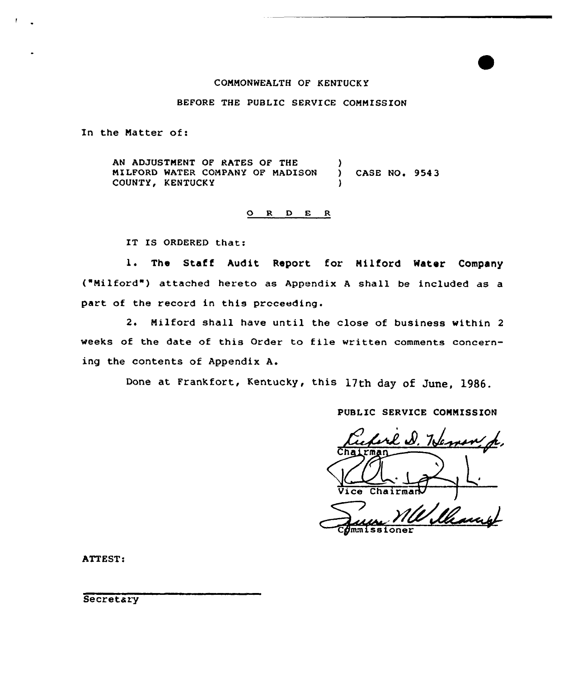# COMMONWEALTH OP KENTUCK Y

BEFORE THE PUBLIC SERVICE COMMISSION

In the Matter of:

AN ADJUSTMENT OF RATES OF THE )<br>MILFORD WATER COMPANY OF MADISON ) MILFORD WATER COMPANY OF MADISON ) CASE NO. 9543 COUNTY, KENTUCKY

## R D E R

IT IS ORDERED that:

1. The Staff Audit Report for Milford Water Company ("Milford") attached hereto as Appendix <sup>A</sup> shall be included as <sup>a</sup> part of the record in this proceeding.

2. Milford shall have until the close of business within <sup>2</sup> weeks of the date of this Order to file written comments concerning the contents of Appendix A.

Done at Frankfort, Kentucky, this 17th day of June, 1986.

# PUBLIC SERVICE COMMISSION

rl N  $r<sub>m</sub>$ Vice Chairman

ATTEST:

Secretary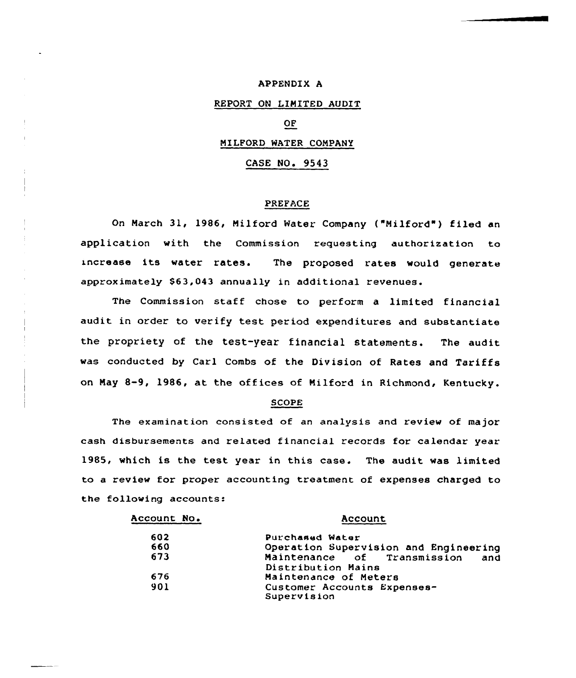### APPENDIX A

## REPORT ON LIMITED AUDIT

# OF

# NILFQRD WATER COMPANY

#### CASE NO. 9543

## PREFACE

On March 31, 1986, Milford Water Company ("Milford") filed an application with the Commission requesting authorization to increase its water rates. The proposed rates would generate approximately \$63,043 annually in additional revenues.

The Commission staff chose to perform a limited financial audit in order to verify test period expenditures and substantiate the propriety of the test-year financial statements. The audit was conducted by Carl Combs of the Division of Rates and Tariffs on May 8-9, 1986, at the offices of Milford in Richmond, Kentucky.

#### SCOPE

The examination consisted of an analysis and review of major cash disbursements and related financial records for calendar year 1985, which is the test year in this case. The audit was limited ta a review for proper accounting treatment of expenses charged to the following accounts:

| Account No. | Account                                    |  |
|-------------|--------------------------------------------|--|
| 602         | Purchased Water                            |  |
| 660         | Operation Supervision and Engineering      |  |
| 673         | Maintenance of Transmission and            |  |
|             | Distribution Mains                         |  |
| 676         | Maintenance of Meters                      |  |
| 901         | Customer Accounts Expenses-<br>Supervision |  |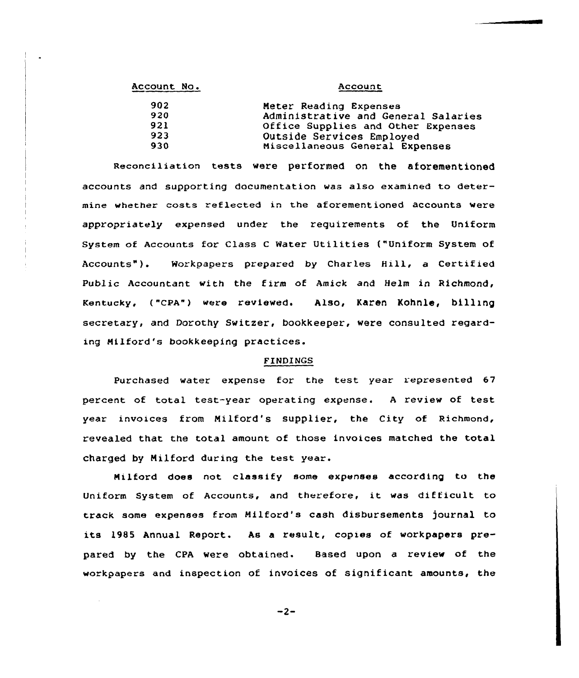| Account No. | Account                             |  |
|-------------|-------------------------------------|--|
| 902         | Meter Reading Expenses              |  |
| 920         | Administrative and General Salaries |  |
| 921         | Office Supplies and Other Expenses  |  |
| 923         | Outside Services Employed           |  |
| 930         | Miscellaneous General Expenses      |  |

Reconciliation tests were performed on the aforementioned accounts and supporting documentation was also examined to determine whether costs reflected in the aforementioned accounts were appropriately expensed under the requirements of the Uniform System of Accounts for Class <sup>C</sup> Water Utilities ("Uniform System of Accounts"). Workpapers prepared by Charles Hill, a Certified Public Accountant with the firm of Amick and Helm in Richmond, Kentucky, ("cpA") were reviewed. Also, Karen Kohnle, billing secretary, and Dorothy Switzer, bookkeeper, were consulted regarding Ni <sup>1</sup>ford 's bookkeeping practices.

### FINDINGS

Purchased water expense for the test year represented 67 percent of total test-year operating expense. <sup>A</sup> review of test year invoices from Nilford's supplier, the City of Richmond, revealed that the total amount of those invoices matched the total charged by Nilford during the test year.

Nilford does not classify some expenses according to the Uniform System of Accounts, and therefore, it was difficult to track some expenses from Nilford's cash disbursements journal to its 1985 Annual Report. As a result, copies of workpapers prepared by the CPA were obtained. Based upon a review of the workpapers and inspection of invoices of significant amounts, the

 $-2-$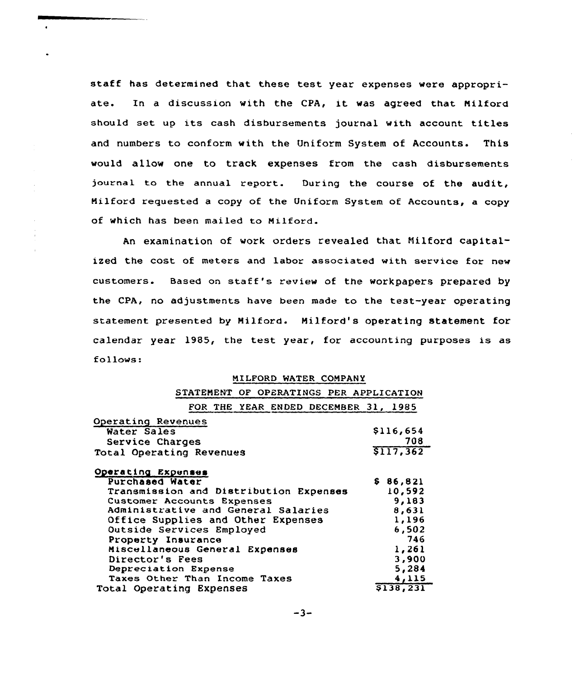staff has determined that these test year expenses were appropriate. In <sup>a</sup> discussion with the CPA, it was agreed that Nilford should set up its cash disbursements journal with account titles and numbers to conform with the Uniform System of Accounts. This would allow one to track expenses from the cash disbursements journal to the annual report. During the course of the audit, Nilford requested a copy of the Uniform System of Accounts, a copy of which has been mailed to Nilford.

An examination of work orders revealed that Nilford capitalized the cost of meters and labor associated with service for new customers. Based on staff's review of the workpapers prepared by the CPA, no adjustments have been made to the test-year operating statement presented by Milford. Milford's operating statement for calendar year 1985, the test year, for accounting purposes is as follows:

| MILFORD WATER COMPANY |  |
|-----------------------|--|
|                       |  |

| STATEMENT OF OPERATINGS PER APPLICATION |           |
|-----------------------------------------|-----------|
| FOR THE YEAR ENDED DECEMBER 31, 1985    |           |
| Operating Revenues                      |           |
| Water Sales                             | \$116,654 |
| Service Charges                         | 708       |
| Total Operating Revenues                | \$117,362 |
| Operating Expenses                      |           |
| Purchased Water                         | \$86,821  |
| Transmission and Distribution Expenses  | 10,592    |
| <b>Customer Accounts Expenses</b>       | 9,183     |
| Administrative and General Salaries     | 8,631     |
| Office Supplies and Other Expenses      | 1,196     |
| Outside Services Employed               | 6,502     |
| Property Insurance                      | 746       |
| Miscellaneous General Expenses          | 1,261     |
| Director's Fees                         | 3,900     |
| Depreciation Expense                    | 5,284     |
| Taxes Other Than Income Taxes           | 4,115     |
| Total Operating Expenses                | 5138, 231 |